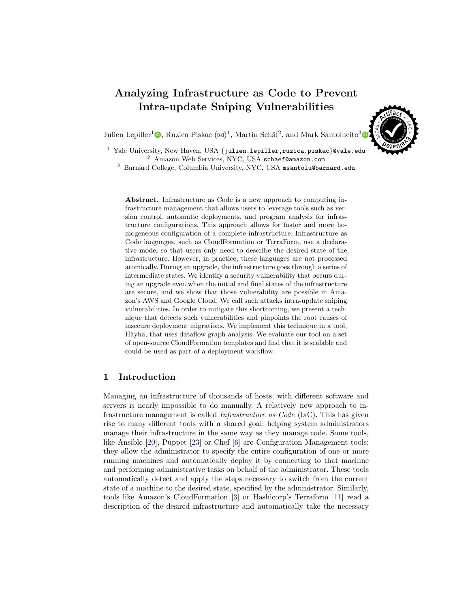# Analyzing Infrastructure as Code to Prevent Intra-update Sniping Vulnerabilities

Julien Lepiller<sup>1</sup><sup>(1</sup>)[,](http://orcid.org/0000-0003-2284-5488) Ruzica Piskac ( $\boxtimes$ )<sup>1</sup>, Martin Schäf<sup>2</sup>, and Mark Santolucito<sup>3</sup>



<sup>1</sup> Yale University, New Haven, USA {julien.lepiller, ruzica.piskac}@yale.edu <sup>2</sup> Amazon Web Services, NYC, USA schaef@amazon.com

<sup>3</sup> Barnard College, Columbia University, NYC, USA msantolu@barnard.edu

Abstract. Infrastructure as Code is a new approach to computing infrastructure management that allows users to leverage tools such as version control, automatic deployments, and program analysis for infrastructure configurations. This approach allows for faster and more homogeneous configuration of a complete infrastructure. Infrastructure as Code languages, such as CloudFormation or TerraForm, use a declarative model so that users only need to describe the desired state of the infrastructure. However, in practice, these languages are not processed atomically. During an upgrade, the infrastructure goes through a series of intermediate states. We identify a security vulnerability that occurs during an upgrade even when the initial and final states of the infrastructure are secure, and we show that those vulnerability are possible in Amazon's AWS and Google Cloud. We call such attacks intra-update sniping vulnerabilities. In order to mitigate this shortcoming, we present a technique that detects such vulnerabilities and pinpoints the root causes of insecure deployment migrations. We implement this technique in a tool, Häyhä, that uses dataflow graph analysis. We evaluate our tool on a set of open-source CloudFormation templates and find that it is scalable and could be used as part of a deployment workflow.

# 1 Introduction

Managing an infrastructure of thousands of hosts, with different software and servers is nearly impossible to do manually. A relatively new approach to infrastructure management is called Infrastructure as Code (IaC). This has given rise to many different tools with a shared goal: helping system administrators manage their infrastructure in the same way as they manage code. Some tools, like Ansible [\[20\]](#page-17-0), Puppet [\[23\]](#page-17-1) or Chef [\[6\]](#page-16-0) are Configuration Management tools: they allow the administrator to specify the entire configuration of one or more running machines and automatically deploy it by connecting to that machine and performing administrative tasks on behalf of the administrator. These tools automatically detect and apply the steps necessary to switch from the current state of a machine to the desired state, specified by the administrator. Similarly, tools like Amazon's CloudFormation [\[3\]](#page-16-1) or Hashicorp's Terraform [\[11\]](#page-16-2) read a description of the desired infrastructure and automatically take the necessary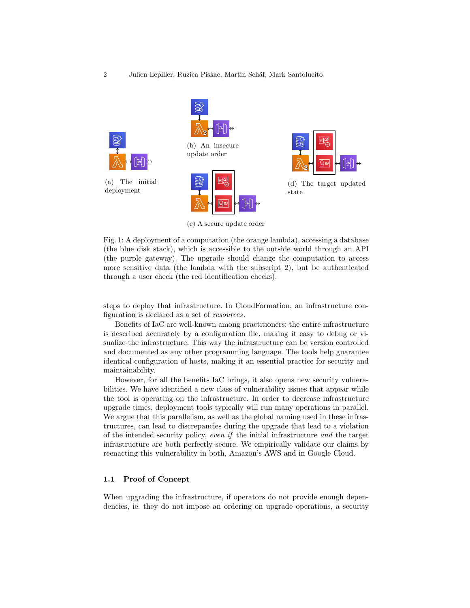<span id="page-1-3"></span><span id="page-1-1"></span><span id="page-1-0"></span>

<span id="page-1-4"></span><span id="page-1-2"></span>(c) A secure update order

Fig. 1: A deployment of a computation (the orange lambda), accessing a database (the blue disk stack), which is accessible to the outside world through an API (the purple gateway). The upgrade should change the computation to access more sensitive data (the lambda with the subscript 2), but be authenticated through a user check (the red identification checks).

steps to deploy that infrastructure. In CloudFormation, an infrastructure configuration is declared as a set of resources.

Benefits of IaC are well-known among practitioners: the entire infrastructure is described accurately by a configuration file, making it easy to debug or visualize the infrastructure. This way the infrastructure can be version controlled and documented as any other programming language. The tools help guarantee identical configuration of hosts, making it an essential practice for security and maintainability.

However, for all the benefits IaC brings, it also opens new security vulnerabilities. We have identified a new class of vulnerability issues that appear while the tool is operating on the infrastructure. In order to decrease infrastructure upgrade times, deployment tools typically will run many operations in parallel. We argue that this parallelism, as well as the global naming used in these infrastructures, can lead to discrepancies during the upgrade that lead to a violation of the intended security policy, even if the initial infrastructure and the target infrastructure are both perfectly secure. We empirically validate our claims by reenacting this vulnerability in both, Amazon's AWS and in Google Cloud.

# 1.1 Proof of Concept

When upgrading the infrastructure, if operators do not provide enough dependencies, ie. they do not impose an ordering on upgrade operations, a security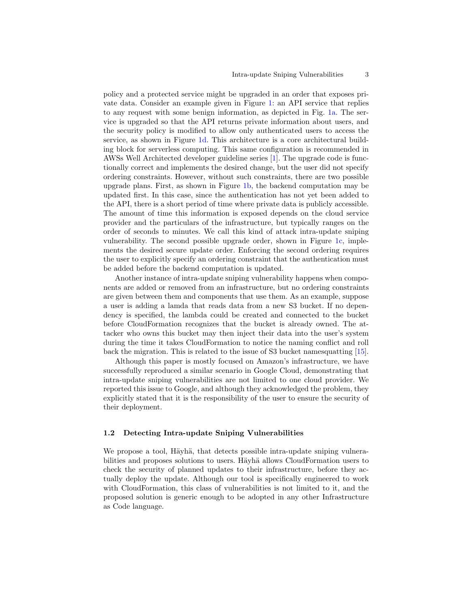policy and a protected service might be upgraded in an order that exposes private data. Consider an example given in Figure [1:](#page-1-0) an API service that replies to any request with some benign information, as depicted in Fig. [1a.](#page-1-1) The service is upgraded so that the API returns private information about users, and the security policy is modified to allow only authenticated users to access the service, as shown in Figure [1d.](#page-1-2) This architecture is a core architectural building block for serverless computing. This same configuration is recommended in AWSs Well Architected developer guideline series [\[1\]](#page-16-3). The upgrade code is functionally correct and implements the desired change, but the user did not specify ordering constraints. However, without such constraints, there are two possible upgrade plans. First, as shown in Figure [1b,](#page-1-3) the backend computation may be updated first. In this case, since the authentication has not yet been added to the API, there is a short period of time where private data is publicly accessible. The amount of time this information is exposed depends on the cloud service provider and the particulars of the infrastructure, but typically ranges on the order of seconds to minutes. We call this kind of attack intra-update sniping vulnerability. The second possible upgrade order, shown in Figure [1c,](#page-1-4) implements the desired secure update order. Enforcing the second ordering requires the user to explicitly specify an ordering constraint that the authentication must be added before the backend computation is updated.

Another instance of intra-update sniping vulnerability happens when components are added or removed from an infrastructure, but no ordering constraints are given between them and components that use them. As an example, suppose a user is adding a lamda that reads data from a new S3 bucket. If no dependency is specified, the lambda could be created and connected to the bucket before CloudFormation recognizes that the bucket is already owned. The attacker who owns this bucket may then inject their data into the user's system during the time it takes CloudFormation to notice the naming conflict and roll back the migration. This is related to the issue of S3 bucket namesquatting [\[15\]](#page-16-4).

Although this paper is mostly focused on Amazon's infrastructure, we have successfully reproduced a similar scenario in Google Cloud, demonstrating that intra-update sniping vulnerabilities are not limited to one cloud provider. We reported this issue to Google, and although they acknowledged the problem, they explicitly stated that it is the responsibility of the user to ensure the security of their deployment.

#### 1.2 Detecting Intra-update Sniping Vulnerabilities

We propose a tool, Häyhä, that detects possible intra-update sniping vulnerabilities and proposes solutions to users. Häyhä allows CloudFormation users to check the security of planned updates to their infrastructure, before they actually deploy the update. Although our tool is specifically engineered to work with CloudFormation, this class of vulnerabilities is not limited to it, and the proposed solution is generic enough to be adopted in any other Infrastructure as Code language.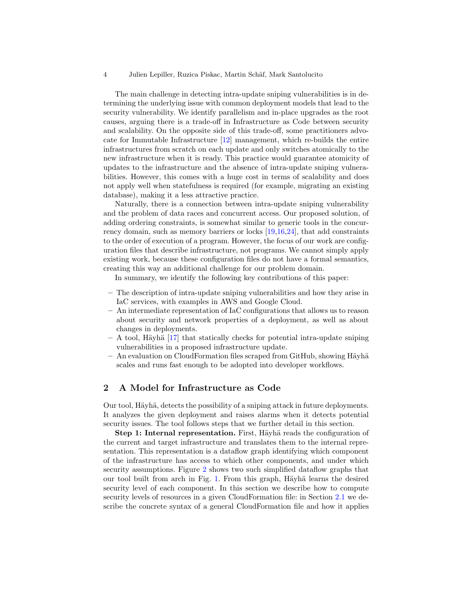#### 4 Julien Lepiller, Ruzica Piskac, Martin Schäf, Mark Santolucito

The main challenge in detecting intra-update sniping vulnerabilities is in determining the underlying issue with common deployment models that lead to the security vulnerability. We identify parallelism and in-place upgrades as the root causes, arguing there is a trade-off in Infrastructure as Code between security and scalability. On the opposite side of this trade-off, some practitioners advocate for Immutable Infrastructure [\[12\]](#page-16-5) management, which re-builds the entire infrastructures from scratch on each update and only switches atomically to the new infrastructure when it is ready. This practice would guarantee atomicity of updates to the infrastructure and the absence of intra-update sniping vulnerabilities. However, this comes with a huge cost in terms of scalability and does not apply well when statefulness is required (for example, migrating an existing database), making it a less attractive practice.

Naturally, there is a connection between intra-update sniping vulnerability and the problem of data races and concurrent access. Our proposed solution, of adding ordering constraints, is somewhat similar to generic tools in the concurrency domain, such as memory barriers or locks [\[19,](#page-17-2)[16,](#page-16-6)[24\]](#page-17-3), that add constraints to the order of execution of a program. However, the focus of our work are configuration files that describe infrastructure, not programs. We cannot simply apply existing work, because these configuration files do not have a formal semantics, creating this way an additional challenge for our problem domain.

In summary, we identify the following key contributions of this paper:

- The description of intra-update sniping vulnerabilities and how they arise in IaC services, with examples in AWS and Google Cloud.
- An intermediate representation of IaC configurations that allows us to reason about security and network properties of a deployment, as well as about changes in deployments.
- $-$  A tool, Häyhä [\[17\]](#page-16-7) that statically checks for potential intra-update sniping vulnerabilities in a proposed infrastructure update.
- An evaluation on CloudFormation files scraped from GitHub, showing Häyhä scales and runs fast enough to be adopted into developer workflows.

# 2 A Model for Infrastructure as Code

Our tool, Häyhä, detects the possibility of a sniping attack in future deployments. It analyzes the given deployment and raises alarms when it detects potential security issues. The tool follows steps that we further detail in this section.

Step 1: Internal representation. First, Häyhä reads the configuration of the current and target infrastructure and translates them to the internal representation. This representation is a dataflow graph identifying which component of the infrastructure has access to which other components, and under which security assumptions. Figure [2](#page-4-0) shows two such simplified dataflow graphs that our tool built from arch in Fig. [1.](#page-1-0) From this graph, Häyhä learns the desired security level of each component. In this section we describe how to compute security levels of resources in a given CloudFormation file: in Section [2.1](#page-5-0) we describe the concrete syntax of a general CloudFormation file and how it applies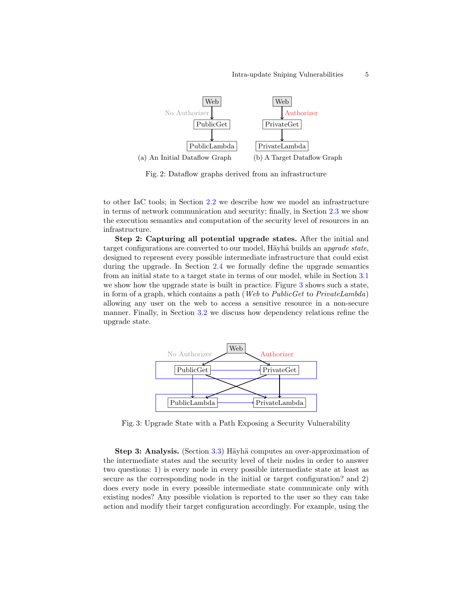<span id="page-4-0"></span>

Fig. 2: Dataflow graphs derived from an infrastructure

to other IaC tools; in Section [2.2](#page-6-0) we describe how we model an infrastructure in terms of network communication and security; finally, in Section [2.3](#page-7-0) we show the execution semantics and computation of the security level of resources in an infrastructure.

Step 2: Capturing all potential upgrade states. After the initial and target configurations are converted to our model, Häyhä builds an upgrade state, designed to represent every possible intermediate infrastructure that could exist during the upgrade. In Section [2.4](#page-8-0) we formally define the upgrade semantics from an initial state to a target state in terms of our model, while in Section [3.1](#page-10-0) we show how the upgrade state is built in practice. Figure [3](#page-4-1) shows such a state, in form of a graph, which contains a path (Web to  $PublicGet$  to  $PrivateLambda$ ) allowing any user on the web to access a sensitive resource in a non-secure manner. Finally, in Section [3.2](#page-11-0) we discuss how dependency relations refine the upgrade state.

<span id="page-4-1"></span>

Fig. 3: Upgrade State with a Path Exposing a Security Vulnerability

Step 3: Analysis. (Section  $3.3$ ) Häyhä computes an over-approximation of the intermediate states and the security level of their nodes in order to answer two questions: 1) is every node in every possible intermediate state at least as secure as the corresponding node in the initial or target configuration? and 2) does every node in every possible intermediate state communicate only with existing nodes? Any possible violation is reported to the user so they can take action and modify their target configuration accordingly. For example, using the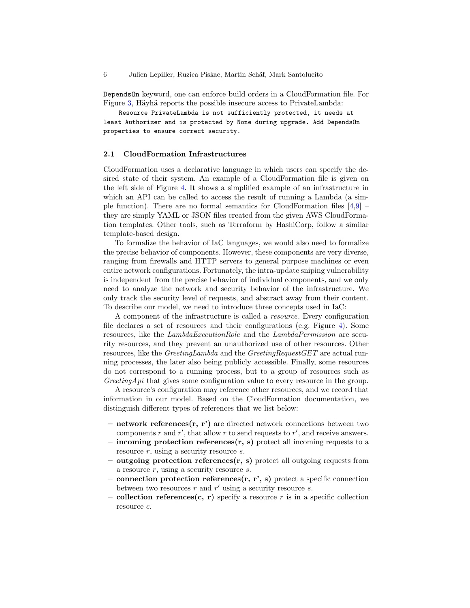DependsOn keyword, one can enforce build orders in a CloudFormation file. For Figure [3,](#page-4-1) Häyhä reports the possible insecure access to PrivateLambda:

Resource PrivateLambda is not sufficiently protected, it needs at least Authorizer and is protected by None during upgrade. Add DependsOn properties to ensure correct security.

### <span id="page-5-0"></span>2.1 CloudFormation Infrastructures

CloudFormation uses a declarative language in which users can specify the desired state of their system. An example of a CloudFormation file is given on the left side of Figure [4.](#page-6-1) It shows a simplified example of an infrastructure in which an API can be called to access the result of running a Lambda (a simple function). There are no formal semantics for CloudFormation files  $[4,9]$  $[4,9]$  – they are simply YAML or JSON files created from the given AWS CloudFormation templates. Other tools, such as Terraform by HashiCorp, follow a similar template-based design.

To formalize the behavior of IaC languages, we would also need to formalize the precise behavior of components. However, these components are very diverse, ranging from firewalls and HTTP servers to general purpose machines or even entire network configurations. Fortunately, the intra-update sniping vulnerability is independent from the precise behavior of individual components, and we only need to analyze the network and security behavior of the infrastructure. We only track the security level of requests, and abstract away from their content. To describe our model, we need to introduce three concepts used in IaC:

A component of the infrastructure is called a resource. Every configuration file declares a set of resources and their configurations (e.g. Figure [4\)](#page-6-1). Some resources, like the LambdaExecutionRole and the LambdaPermission are security resources, and they prevent an unauthorized use of other resources. Other resources, like the *GreetingLambda* and the *GreetingRequestGET* are actual running processes, the later also being publicly accessible. Finally, some resources do not correspond to a running process, but to a group of resources such as  $GreetingApi$  that gives some configuration value to every resource in the group.

A resource's configuration may reference other resources, and we record that information in our model. Based on the CloudFormation documentation, we distinguish different types of references that we list below:

- network references $(\mathbf{r}, \mathbf{r}')$  are directed network connections between two components  $r$  and  $r'$ , that allow  $r$  to send requests to  $r'$ , and receive answers.
- incoming protection references $(r, s)$  protect all incoming requests to a resource r, using a security resource s.
- outgoing protection references $(r, s)$  protect all outgoing requests from a resource r, using a security resource s.
- connection protection references $(r, r', s)$  protect a specific connection between two resources  $r$  and  $r'$  using a security resource  $s$ .
- collection references(c, r) specify a resource r is in a specific collection resource c.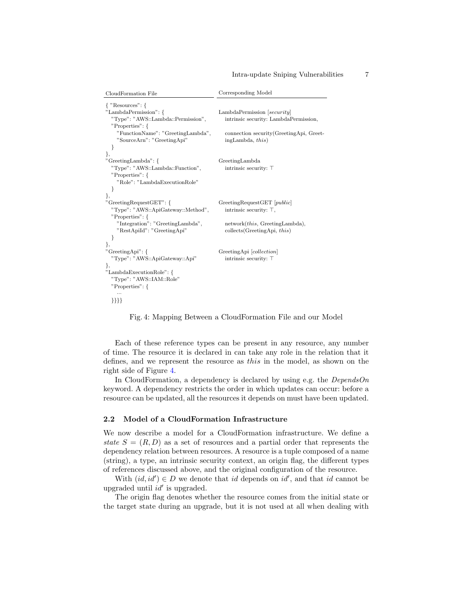<span id="page-6-1"></span>

| CloudFormation File                | Corresponding Model                                |
|------------------------------------|----------------------------------------------------|
| $\{$ "Resources": $\{$             |                                                    |
| "LambdaPermission": {              | LambdaPermission [security]                        |
| "Type": "AWS::Lambda::Permission", | intrinsic security: LambdaPermission,              |
| "Properties": {                    |                                                    |
| "FunctionName": "GreetingLambda",  | connection security (GreetingApi, Greet-           |
| "SourceArn": "GreetingApi"         | ingLambda, this)                                   |
| ł                                  |                                                    |
| },                                 |                                                    |
| "GreetingLambda": {                | GreetingLambda                                     |
| "Type": "AWS::Lambda::Function",   | intrinsic security: $\top$                         |
| $"Properties": \{$                 |                                                    |
| "Role": "LambdaExecutionRole"      |                                                    |
| $\}$                               |                                                    |
| },                                 |                                                    |
| "GreetingRequestGET": {            | GreetingRequestGET [ <i>public</i> ]               |
| "Type": "AWS::ApiGateway::Method", | intrinsic security: $\top$ ,                       |
| $"Properties": \{$                 |                                                    |
| "Integration": "GreetingLambda",   | network(this, GreetingLambda),                     |
| "RestApiId": "GreetingApi"         | $\text{collects}(\text{GreetingApi}, \text{this})$ |
| ł                                  |                                                    |
| $\}$ ,                             |                                                    |
| "GreetingApi": {                   | GreetingApi [collection]                           |
| "Type": "AWS::ApiGateway::Api"     | intrinsic security: $\top$                         |
| ∤,                                 |                                                    |
| "LambdaExecutionRole": {           |                                                    |
| "Type": "AWS::IAM::Role"           |                                                    |
| "Properties": {                    |                                                    |
|                                    |                                                    |
| }}}}                               |                                                    |

Fig. 4: Mapping Between a CloudFormation File and our Model

Each of these reference types can be present in any resource, any number of time. The resource it is declared in can take any role in the relation that it defines, and we represent the resource as this in the model, as shown on the right side of Figure [4.](#page-6-1)

In CloudFormation, a dependency is declared by using e.g. the  $DependsOn$ keyword. A dependency restricts the order in which updates can occur: before a resource can be updated, all the resources it depends on must have been updated.

#### <span id="page-6-0"></span>2.2 Model of a CloudFormation Infrastructure

We now describe a model for a CloudFormation infrastructure. We define a state  $S = (R, D)$  as a set of resources and a partial order that represents the dependency relation between resources. A resource is a tuple composed of a name (string), a type, an intrinsic security context, an origin flag, the different types of references discussed above, and the original configuration of the resource.

With  $(id, id') \in D$  we denote that id depends on id', and that id cannot be upgraded until  $id'$  is upgraded.

The origin flag denotes whether the resource comes from the initial state or the target state during an upgrade, but it is not used at all when dealing with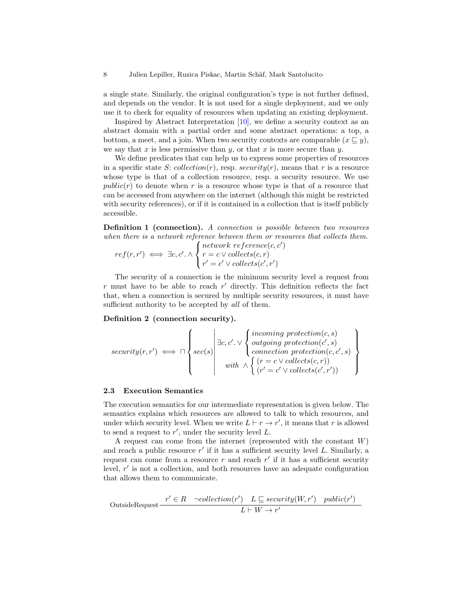a single state. Similarly, the original configuration's type is not further defined, and depends on the vendor. It is not used for a single deployment, and we only use it to check for equality of resources when updating an existing deployment.

Inspired by Abstract Interpretation [\[10\]](#page-16-10), we define a security context as an abstract domain with a partial order and some abstract operations: a top, a bottom, a meet, and a join. When two security contexts are comparable  $(x \sqsubseteq y)$ , we say that x is less permissive than y, or that x is more secure than y.

We define predicates that can help us to express some properties of resources in a specific state S: collection(r), resp. security(r), means that r is a resource whose type is that of a collection resource, resp. a security resource. We use  $public(r)$  to denote when r is a resource whose type is that of a resource that can be accessed from anywhere on the internet (although this might be restricted with security references), or if it is contained in a collection that is itself publicly accessible.

Definition 1 (connection). A connection is possible between two resources when there is a network reference between them or resources that collects them.  $\sqrt{ }$ 

 $ref(r,r') \iff \exists c, c'. \land$ J  $\mathcal{L}$  $network\,\,reference(c,c')$  $r = c \vee collects(c, r)$  $r' = c' \vee collects(c', r')$ 

The security of a connection is the minimum security level a request from  $r$  must have to be able to reach  $r'$  directly. This definition reflects the fact that, when a connection is secured by multiple security resources, it must have sufficient authority to be accepted by all of them.

### Definition 2 (connection security).

$$
security(r,r') \iff \Box \left\{ \begin{aligned} &\exists c,c'. \lor \left\{ \begin{aligned} &\text{incoming protection}(c,s) \\ &\text{outgoing protection}(c',s) \\ &\text{connection protection}(c,c',s) \\ &\text{with } \land \left\{ \begin{aligned} &\left(r = c \lor \text{collects}(c,r) \right) \\ &\left(r' = c' \lor \text{collects}(c',r') \right) \end{aligned} \right. \end{aligned} \right\}
$$

#### <span id="page-7-0"></span>2.3 Execution Semantics

The execution semantics for our intermediate representation is given below. The semantics explains which resources are allowed to talk to which resources, and under which security level. When we write  $L \vdash r \rightarrow r'$ , it means that r is allowed to send a request to  $r'$ , under the security level  $L$ .

A request can come from the internet (represented with the constant W) and reach a public resource  $r'$  if it has a sufficient security level  $L$ . Similarly, a request can come from a resource  $r$  and reach  $r'$  if it has a sufficient security level,  $r'$  is not a collection, and both resources have an adequate configuration that allows them to communicate.

$$
\text{OutsideRequest} \xrightarrow{r' \in R} \neg collection(r') \quad L \sqsubseteq security(W, r') \quad public(r')
$$

$$
L \vdash W \to r'
$$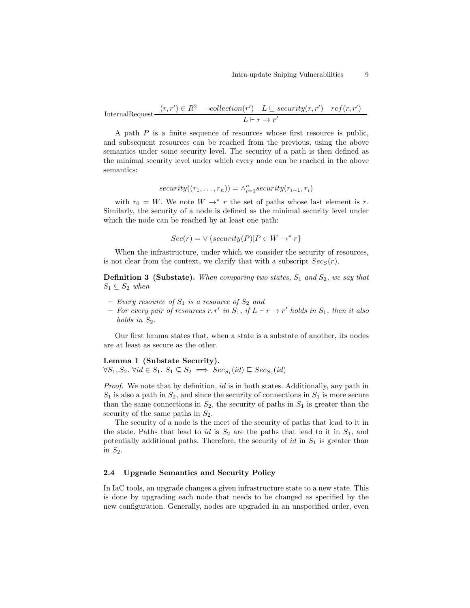$$
\text{InternalRequest} \begin{array}{c|cc} (r, r') \in R^2 & \neg collection(r') & L \sqsubseteq security(r, r') & ref(r, r') \\ & L \vdash r \to r' \end{array}
$$

A path P is a finite sequence of resources whose first resource is public, and subsequent resources can be reached from the previous, using the above semantics under some security level. The security of a path is then defined as the minimal security level under which every node can be reached in the above semantics:

$$
security((r_1, \ldots, r_n)) = \wedge_{i=1}^n security(r_{i-1}, r_i)
$$

with  $r_0 = W$ . We note  $W \rightarrow^* r$  the set of paths whose last element is r. Similarly, the security of a node is defined as the minimal security level under which the node can be reached by at least one path:

$$
Sec(r) = \vee \{security(P)|P \in W \to^* r\}
$$

When the infrastructure, under which we consider the security of resources, is not clear from the context, we clarify that with a subscript  $Sec_S(r)$ .

**Definition 3 (Substate).** When comparing two states,  $S_1$  and  $S_2$ , we say that  $S_1 \subseteq S_2$  when

- Every resource of  $S_1$  is a resource of  $S_2$  and
- For every pair of resources  $r, r'$  in  $S_1$ , if  $L \vdash r \rightarrow r'$  holds in  $S_1$ , then it also holds in  $S_2$ .

Our first lemma states that, when a state is a substate of another, its nodes are at least as secure as the other.

#### <span id="page-8-1"></span>Lemma 1 (Substate Security).

 $\forall S_1, S_2$ .  $\forall id \in S_1$ .  $S_1 \subseteq S_2 \implies Sec_{S_1}(id) \sqsubseteq Sec_{S_2}(id)$ 

Proof. We note that by definition, id is in both states. Additionally, any path in  $S_1$  is also a path in  $S_2$ , and since the security of connections in  $S_1$  is more secure than the same connections in  $S_2$ , the security of paths in  $S_1$  is greater than the security of the same paths in  $S_2$ .

The security of a node is the meet of the security of paths that lead to it in the state. Paths that lead to id is  $S_2$  are the paths that lead to it in  $S_1$ , and potentially additional paths. Therefore, the security of  $id$  in  $S_1$  is greater than in  $S_2$ .

### <span id="page-8-0"></span>2.4 Upgrade Semantics and Security Policy

In IaC tools, an upgrade changes a given infrastructure state to a new state. This is done by upgrading each node that needs to be changed as specified by the new configuration. Generally, nodes are upgraded in an unspecified order, even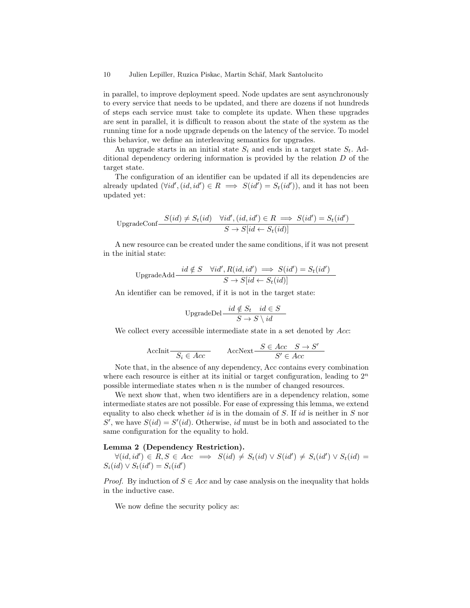in parallel, to improve deployment speed. Node updates are sent asynchronously to every service that needs to be updated, and there are dozens if not hundreds of steps each service must take to complete its update. When these upgrades are sent in parallel, it is difficult to reason about the state of the system as the running time for a node upgrade depends on the latency of the service. To model this behavior, we define an interleaving semantics for upgrades.

An upgrade starts in an initial state  $S_i$  and ends in a target state  $S_t$ . Additional dependency ordering information is provided by the relation D of the target state.

The configuration of an identifier can be updated if all its dependencies are already updated  $(\forall id', (id, id') \in R \implies S(id') = S_t(id'))$ , and it has not been updated yet:

$$
\text{UpgradeConf} \xrightarrow{S(id) \neq S_t(id) \quad \forall id', (id, id') \in R \implies S(id') = S_t(id')}
$$
\n
$$
S \to S(id \leftarrow S_t(id)]
$$

A new resource can be created under the same conditions, if it was not present in the initial state:

$$
\text{UpgradeAdd} \frac{id \notin S \quad \forall id', R(id, id') \implies S(id') = S_t(id')}{S \rightarrow S(id \leftarrow S_t(id)]}
$$

An identifier can be removed, if it is not in the target state:

$$
\text{UpgradeDel} \frac{id \notin S_t \quad id \in S}{S \to S \setminus id}
$$

We collect every accessible intermediate state in a set denoted by Acc:

$$
AccInit \frac{}{\textcolor{red}{S_i \in Acc}} \qquad AccNext \frac{\textcolor{red}{S \in Acc}}{\textcolor{red}{S' \in Acc}}
$$

Note that, in the absence of any dependency, Acc contains every combination where each resource is either at its initial or target configuration, leading to  $2<sup>n</sup>$ possible intermediate states when  $n$  is the number of changed resources.

We next show that, when two identifiers are in a dependency relation, some intermediate states are not possible. For ease of expressing this lemma, we extend equality to also check whether id is in the domain of  $S$ . If id is neither in  $S$  nor S', we have  $S(id) = S'(id)$ . Otherwise, id must be in both and associated to the same configuration for the equality to hold.

### <span id="page-9-0"></span>Lemma 2 (Dependency Restriction).

 $\forall (id, id') \in R, S \in Acc \implies S(id) \neq S_t(id) \vee S(id') \neq S_i(id') \vee S_t(id) =$  $S_i(id) \vee S_t(id') = S_i(id')$ 

*Proof.* By induction of  $S \in Acc$  and by case analysis on the inequality that holds in the inductive case.

We now define the security policy as: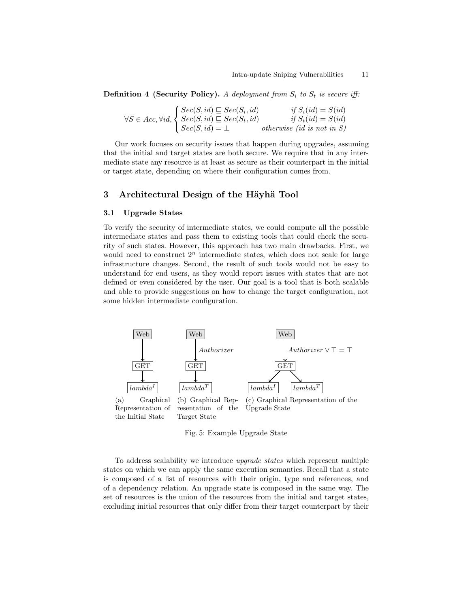**Definition 4 (Security Policy).** A deployment from  $S_i$  to  $S_t$  is secure iff:

 $\forall S \in Acc, \forall id,$  $\sqrt{ }$ J  $\mathcal{L}$  $Sec(S, id) \sqsubseteq Sec(S_i, id)$  if  $S_i(id) = S(id)$  $Sec(S, id) \sqsubseteq Sec(S_t, id)$  if  $S_t(id) = S(id)$  $Sec(S, id) = \perp$  otherwise (id is not in S)

Our work focuses on security issues that happen during upgrades, assuming that the initial and target states are both secure. We require that in any intermediate state any resource is at least as secure as their counterpart in the initial or target state, depending on where their configuration comes from.

# 3 Architectural Design of the Häyhä Tool

### <span id="page-10-0"></span>3.1 Upgrade States

To verify the security of intermediate states, we could compute all the possible intermediate states and pass them to existing tools that could check the security of such states. However, this approach has two main drawbacks. First, we would need to construct  $2<sup>n</sup>$  intermediate states, which does not scale for large infrastructure changes. Second, the result of such tools would not be easy to understand for end users, as they would report issues with states that are not defined or even considered by the user. Our goal is a tool that is both scalable and able to provide suggestions on how to change the target configuration, not some hidden intermediate configuration.

<span id="page-10-1"></span>

Fig. 5: Example Upgrade State

To address scalability we introduce upgrade states which represent multiple states on which we can apply the same execution semantics. Recall that a state is composed of a list of resources with their origin, type and references, and of a dependency relation. An upgrade state is composed in the same way. The set of resources is the union of the resources from the initial and target states, excluding initial resources that only differ from their target counterpart by their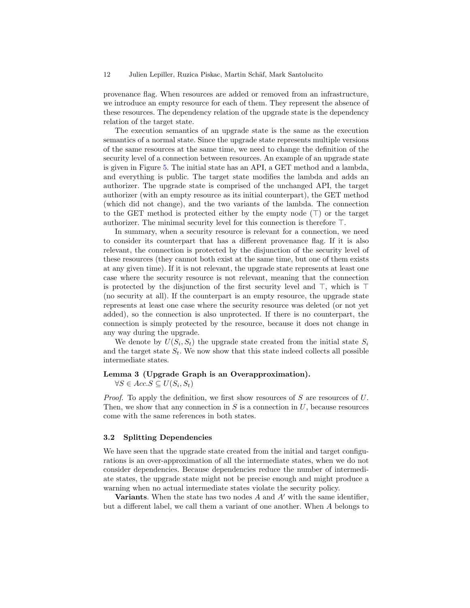provenance flag. When resources are added or removed from an infrastructure, we introduce an empty resource for each of them. They represent the absence of these resources. The dependency relation of the upgrade state is the dependency relation of the target state.

The execution semantics of an upgrade state is the same as the execution semantics of a normal state. Since the upgrade state represents multiple versions of the same resources at the same time, we need to change the definition of the security level of a connection between resources. An example of an upgrade state is given in Figure [5.](#page-10-1) The initial state has an API, a GET method and a lambda, and everything is public. The target state modifies the lambda and adds an authorizer. The upgrade state is comprised of the unchanged API, the target authorizer (with an empty resource as its initial counterpart), the GET method (which did not change), and the two variants of the lambda. The connection to the GET method is protected either by the empty node  $(\top)$  or the target authorizer. The minimal security level for this connection is therefore  $\top$ .

In summary, when a security resource is relevant for a connection, we need to consider its counterpart that has a different provenance flag. If it is also relevant, the connection is protected by the disjunction of the security level of these resources (they cannot both exist at the same time, but one of them exists at any given time). If it is not relevant, the upgrade state represents at least one case where the security resource is not relevant, meaning that the connection is protected by the disjunction of the first security level and  $\top$ , which is  $\top$ (no security at all). If the counterpart is an empty resource, the upgrade state represents at least one case where the security resource was deleted (or not yet added), so the connection is also unprotected. If there is no counterpart, the connection is simply protected by the resource, because it does not change in any way during the upgrade.

We denote by  $U(S_i, S_t)$  the upgrade state created from the initial state  $S_i$ and the target state  $S_t$ . We now show that this state indeed collects all possible intermediate states.

### <span id="page-11-1"></span>Lemma 3 (Upgrade Graph is an Overapproximation).

 $\forall S \in Acc.S \subseteq U(S_i, S_t)$ 

*Proof.* To apply the definition, we first show resources of S are resources of  $U$ . Then, we show that any connection in  $S$  is a connection in  $U$ , because resources come with the same references in both states.

#### <span id="page-11-0"></span>3.2 Splitting Dependencies

We have seen that the upgrade state created from the initial and target configurations is an over-approximation of all the intermediate states, when we do not consider dependencies. Because dependencies reduce the number of intermediate states, the upgrade state might not be precise enough and might produce a warning when no actual intermediate states violate the security policy.

**Variants**. When the state has two nodes  $A$  and  $A'$  with the same identifier, but a different label, we call them a variant of one another. When A belongs to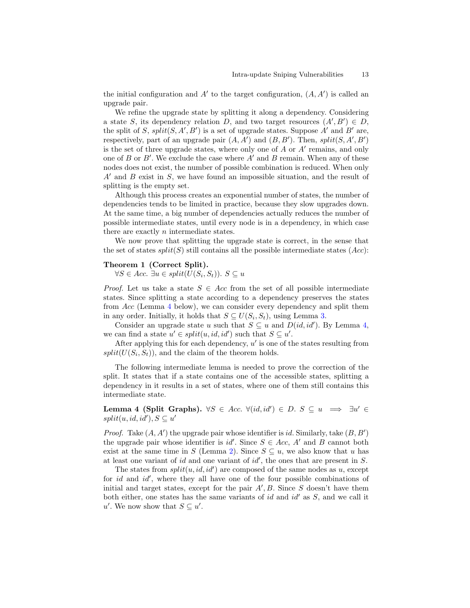the initial configuration and  $A'$  to the target configuration,  $(A, A')$  is called an upgrade pair.

We refine the upgrade state by splitting it along a dependency. Considering a state S, its dependency relation D, and two target resources  $(A', B') \in D$ , the split of S,  $split(S, A', B')$  is a set of upgrade states. Suppose A' and B' are, respectively, part of an upgrade pair  $(A, A')$  and  $(B, B')$ . Then,  $split(S, A', B')$ is the set of three upgrade states, where only one of  $A$  or  $A'$  remains, and only one of  $B$  or  $B'$ . We exclude the case where  $A'$  and  $B$  remain. When any of these nodes does not exist, the number of possible combination is reduced. When only  $A'$  and  $B$  exist in  $S$ , we have found an impossible situation, and the result of splitting is the empty set.

Although this process creates an exponential number of states, the number of dependencies tends to be limited in practice, because they slow upgrades down. At the same time, a big number of dependencies actually reduces the number of possible intermediate states, until every node is in a dependency, in which case there are exactly n intermediate states.

We now prove that splitting the upgrade state is correct, in the sense that the set of states  $split(S)$  still contains all the possible intermediate states  $(Acc)$ :

### <span id="page-12-1"></span>Theorem 1 (Correct Split).

 $\forall S \in Acc. \ \exists u \in split(U(S_i, S_t)). \ S \subseteq u$ 

*Proof.* Let us take a state  $S \in Acc$  from the set of all possible intermediate states. Since splitting a state according to a dependency preserves the states from Acc (Lemma [4](#page-12-0) below), we can consider every dependency and split them in any order. Initially, it holds that  $S \subseteq U(S_i, S_t)$ , using Lemma [3.](#page-11-1)

Consider an upgrade state u such that  $S \subseteq u$  and  $D(id, id')$ . By Lemma [4,](#page-12-0) we can find a state  $u' \in split(u, id, id')$  such that  $S \subseteq u'$ .

After applying this for each dependency,  $u'$  is one of the states resulting from  $split(U(S_i, S_t)),$  and the claim of the theorem holds.

The following intermediate lemma is needed to prove the correction of the split. It states that if a state contains one of the accessible states, splitting a dependency in it results in a set of states, where one of them still contains this intermediate state.

<span id="page-12-0"></span>Lemma 4 (Split Graphs).  $\forall S \in Acc. \ \forall (id, id') \in D. \ S \subseteq u \implies \exists u' \in D$  $split(u, id, id'), S \subseteq u'$ 

*Proof.* Take  $(A, A')$  the upgrade pair whose identifier is id. Similarly, take  $(B, B')$ the upgrade pair whose identifier is  $id'$ . Since  $S \in Acc, A'$  and B cannot both exist at the same time in S (Lemma [2\)](#page-9-0). Since  $S \subseteq u$ , we also know that u has at least one variant of  $id$  and one variant of  $id'$ , the ones that are present in  $S$ .

The states from  $split(u, id, id')$  are composed of the same nodes as u, except for  $id$  and  $id'$ , where they all have one of the four possible combinations of initial and target states, except for the pair  $A', B$ . Since S doesn't have them both either, one states has the same variants of  $id$  and  $id'$  as  $S$ , and we call it  $u'$ . We now show that  $S \subseteq u'$ .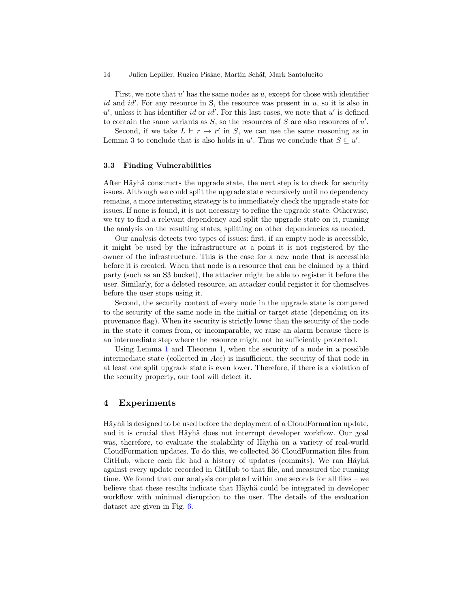#### 14 Julien Lepiller, Ruzica Piskac, Martin Schäf, Mark Santolucito

First, we note that  $u'$  has the same nodes as  $u$ , except for those with identifier id and  $id'$ . For any resource in S, the resource was present in  $u$ , so it is also in  $u'$ , unless it has identifier id or id'. For this last cases, we note that  $u'$  is defined to contain the same variants as  $S$ , so the resources of  $S$  are also resources of  $u'$ .

Second, if we take  $L \vdash r \to r'$  in S, we can use the same reasoning as in Lemma [3](#page-11-1) to conclude that is also holds in  $u'$ . Thus we conclude that  $S \subseteq u'$ .

### <span id="page-13-0"></span>3.3 Finding Vulnerabilities

After Häyhä constructs the upgrade state, the next step is to check for security issues. Although we could split the upgrade state recursively until no dependency remains, a more interesting strategy is to immediately check the upgrade state for issues. If none is found, it is not necessary to refine the upgrade state. Otherwise, we try to find a relevant dependency and split the upgrade state on it, running the analysis on the resulting states, splitting on other dependencies as needed.

Our analysis detects two types of issues: first, if an empty node is accessible, it might be used by the infrastructure at a point it is not registered by the owner of the infrastructure. This is the case for a new node that is accessible before it is created. When that node is a resource that can be claimed by a third party (such as an S3 bucket), the attacker might be able to register it before the user. Similarly, for a deleted resource, an attacker could register it for themselves before the user stops using it.

Second, the security context of every node in the upgrade state is compared to the security of the same node in the initial or target state (depending on its provenance flag). When its security is strictly lower than the security of the node in the state it comes from, or incomparable, we raise an alarm because there is an intermediate step where the resource might not be sufficiently protected.

Using Lemma [1](#page-8-1) and Theorem [1,](#page-12-1) when the security of a node in a possible intermediate state (collected in  $Acc$ ) is insufficient, the security of that node in at least one split upgrade state is even lower. Therefore, if there is a violation of the security property, our tool will detect it.

### 4 Experiments

Häyhä is designed to be used before the deployment of a CloudFormation update, and it is crucial that Häyhä does not interrupt developer workflow. Our goal was, therefore, to evaluate the scalability of Häyhä on a variety of real-world CloudFormation updates. To do this, we collected 36 CloudFormation files from GitHub, where each file had a history of updates (commits). We ran Häyhä against every update recorded in GitHub to that file, and measured the running time. We found that our analysis completed within one seconds for all files – we believe that these results indicate that Häyhä could be integrated in developer workflow with minimal disruption to the user. The details of the evaluation dataset are given in Fig. [6.](#page-14-0)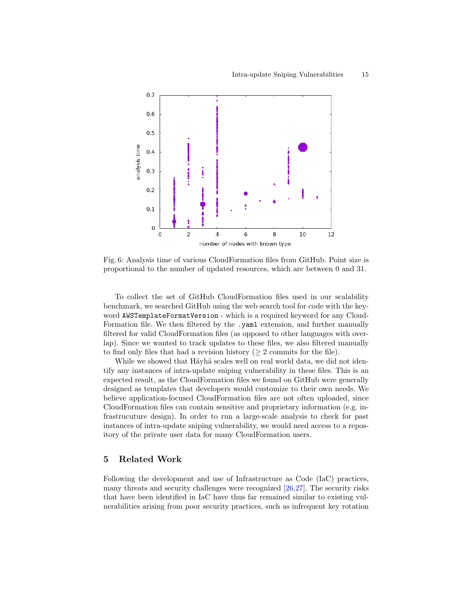<span id="page-14-0"></span>

Fig. 6: Analysis time of various CloudFormation files from GitHub. Point size is proportional to the number of updated resources, which are between 0 and 31.

To collect the set of GitHub CloudFormation files used in our scalability benchmark, we searched GitHub using the web search tool for code with the keyword AWSTemplateFormatVersion - which is a required keyword for any Cloud-Formation file. We then filtered by the .yaml extension, and further manually filtered for valid CloudFormation files (as opposed to other languages with overlap). Since we wanted to track updates to these files, we also filtered manually to find only files that had a revision history ( $\geq 2$  commits for the file).

While we showed that Häyhä scales well on real world data, we did not identify any instances of intra-update sniping vulnerability in these files. This is an expected result, as the CloudFormation files we found on GitHub were generally designed as templates that developers would customize to their own needs. We believe application-focused CloudFormation files are not often uploaded, since CloudFormation files can contain sensitive and proprietary information (e.g. infrastrucuture design). In order to run a large-scale analysis to check for past instances of intra-update sniping vulnerability, we would need access to a repository of the private user data for many CloudFormation users.

### 5 Related Work

Following the development and use of Infrastructure as Code (IaC) practices, many threats and security challenges were recognized [\[26,](#page-17-4)[27\]](#page-17-5). The security risks that have been identified in IaC have thus far remained similar to existing vulnerabilities arising from poor security practices, such as infrequent key rotation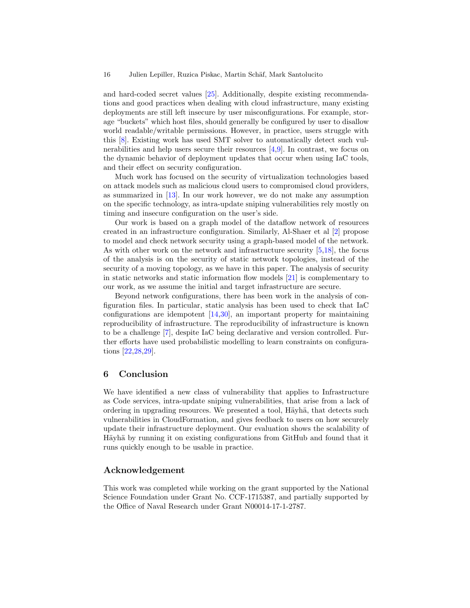and hard-coded secret values [\[25\]](#page-17-6). Additionally, despite existing recommendations and good practices when dealing with cloud infrastructure, many existing deployments are still left insecure by user misconfigurations. For example, storage "buckets" which host files, should generally be configured by user to disallow world readable/writable permissions. However, in practice, users struggle with this [\[8\]](#page-16-11). Existing work has used SMT solver to automatically detect such vulnerabilities and help users secure their resources [\[4,](#page-16-8)[9\]](#page-16-9). In contrast, we focus on the dynamic behavior of deployment updates that occur when using IaC tools, and their effect on security configuration.

Much work has focused on the security of virtualization technologies based on attack models such as malicious cloud users to compromised cloud providers, as summarized in [\[13\]](#page-16-12). In our work however, we do not make any assumption on the specific technology, as intra-update sniping vulnerabilities rely mostly on timing and insecure configuration on the user's side.

Our work is based on a graph model of the dataflow network of resources created in an infrastructure configuration. Similarly, Al-Shaer et al [\[2\]](#page-16-13) propose to model and check network security using a graph-based model of the network. As with other work on the network and infrastructure security [\[5,](#page-16-14)[18\]](#page-16-15), the focus of the analysis is on the security of static network topologies, instead of the security of a moving topology, as we have in this paper. The analysis of security in static networks and static information flow models [\[21\]](#page-17-7) is complementary to our work, as we assume the initial and target infrastructure are secure.

Beyond network configurations, there has been work in the analysis of configuration files. In particular, static analysis has been used to check that IaC configurations are idempotent [\[14,](#page-16-16)[30\]](#page-17-8), an important property for maintaining reproducibility of infrastructure. The reproducibility of infrastructure is known to be a challenge [\[7\]](#page-16-17), despite IaC being declarative and version controlled. Further efforts have used probabilistic modelling to learn constraints on configurations [\[22,](#page-17-9)[28,](#page-17-10)[29\]](#page-17-11).

### 6 Conclusion

We have identified a new class of vulnerability that applies to Infrastructure as Code services, intra-update sniping vulnerabilities, that arise from a lack of ordering in upgrading resources. We presented a tool, Häyhä, that detects such vulnerabilities in CloudFormation, and gives feedback to users on how securely update their infrastructure deployment. Our evaluation shows the scalability of Häyhä by running it on existing configurations from GitHub and found that it runs quickly enough to be usable in practice.

# Acknowledgement

This work was completed while working on the grant supported by the National Science Foundation under Grant No. CCF-1715387, and partially supported by the Office of Naval Research under Grant N00014-17-1-2787.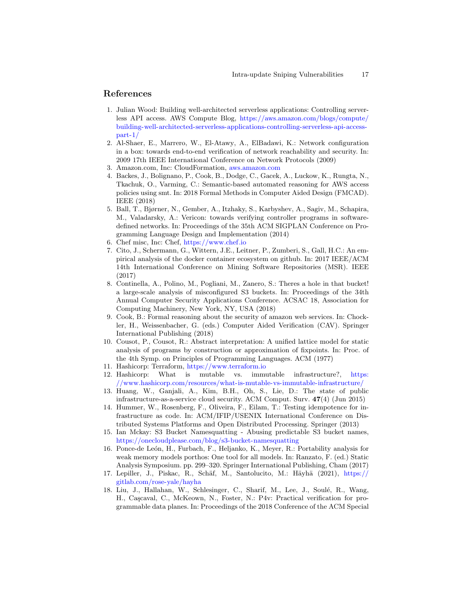# References

- <span id="page-16-3"></span>1. Julian Wood: Building well-architected serverless applications: Controlling serverless API access. AWS Compute Blog, https://aws.amazon.[com/blogs/compute/](https://aws.amazon.com/blogs/compute/building-well-architected-serverless-applications-controlling-serverless-api-access-part-1/) [building-well-architected-serverless-applications-controlling-serverless-api-access](https://aws.amazon.com/blogs/compute/building-well-architected-serverless-applications-controlling-serverless-api-access-part-1/)[part-1/](https://aws.amazon.com/blogs/compute/building-well-architected-serverless-applications-controlling-serverless-api-access-part-1/)
- <span id="page-16-13"></span>2. Al-Shaer, E., Marrero, W., El-Atawy, A., ElBadawi, K.: Network configuration in a box: towards end-to-end verification of network reachability and security. In: 2009 17th IEEE International Conference on Network Protocols (2009)
- <span id="page-16-1"></span>3. Amazon.com, Inc: CloudFormation, aws.[amazon](aws.amazon.com).com
- <span id="page-16-8"></span>4. Backes, J., Bolignano, P., Cook, B., Dodge, C., Gacek, A., Luckow, K., Rungta, N., Tkachuk, O., Varming, C.: Semantic-based automated reasoning for AWS access policies using smt. In: 2018 Formal Methods in Computer Aided Design (FMCAD). IEEE (2018)
- <span id="page-16-14"></span>5. Ball, T., Bjørner, N., Gember, A., Itzhaky, S., Karbyshev, A., Sagiv, M., Schapira, M., Valadarsky, A.: Vericon: towards verifying controller programs in softwaredefined networks. In: Proceedings of the 35th ACM SIGPLAN Conference on Programming Language Design and Implementation (2014)
- <span id="page-16-0"></span>6. Chef misc, Inc: Chef, [https://www](https://www.chef.io).chef.io
- <span id="page-16-17"></span>7. Cito, J., Schermann, G., Wittern, J.E., Leitner, P., Zumberi, S., Gall, H.C.: An empirical analysis of the docker container ecosystem on github. In: 2017 IEEE/ACM 14th International Conference on Mining Software Repositories (MSR). IEEE (2017)
- <span id="page-16-11"></span>8. Continella, A., Polino, M., Pogliani, M., Zanero, S.: Theres a hole in that bucket! a large-scale analysis of misconfigured S3 buckets. In: Proceedings of the 34th Annual Computer Security Applications Conference. ACSAC 18, Association for Computing Machinery, New York, NY, USA (2018)
- <span id="page-16-9"></span>9. Cook, B.: Formal reasoning about the security of amazon web services. In: Chockler, H., Weissenbacher, G. (eds.) Computer Aided Verification (CAV). Springer International Publishing (2018)
- <span id="page-16-10"></span>10. Cousot, P., Cousot, R.: Abstract interpretation: A unified lattice model for static analysis of programs by construction or approximation of fixpoints. In: Proc. of the 4th Symp. on Principles of Programming Languages. ACM (1977)
- <span id="page-16-2"></span>11. Hashicorp: Terraform, [https://www](https://www.terraform.io).terraform.io
- <span id="page-16-5"></span>12. Hashicorp: What is mutable vs. immutable infrastructure?, [https:](https://www.hashicorp.com/resources/what-is-mutable-vs-immutable-infrastructure/) //www.hashicorp.[com/resources/what-is-mutable-vs-immutable-infrastructure/](https://www.hashicorp.com/resources/what-is-mutable-vs-immutable-infrastructure/)
- <span id="page-16-12"></span>13. Huang, W., Ganjali, A., Kim, B.H., Oh, S., Lie, D.: The state of public infrastructure-as-a-service cloud security. ACM Comput. Surv. 47(4) (Jun 2015)
- <span id="page-16-16"></span>14. Hummer, W., Rosenberg, F., Oliveira, F., Eilam, T.: Testing idempotence for infrastructure as code. In: ACM/IFIP/USENIX International Conference on Distributed Systems Platforms and Open Distributed Processing. Springer (2013)
- <span id="page-16-4"></span>15. Ian Mckay: S3 Bucket Namesquatting - Abusing predictable S3 bucket names, https://onecloudplease.[com/blog/s3-bucket-namesquatting](https://onecloudplease.com/blog/s3-bucket-namesquatting)
- <span id="page-16-6"></span>16. Ponce-de León, H., Furbach, F., Heljanko, K., Meyer, R.: Portability analysis for weak memory models porthos: One tool for all models. In: Ranzato, F. (ed.) Static Analysis Symposium. pp. 299–320. Springer International Publishing, Cham (2017)
- <span id="page-16-7"></span>17. Lepiller, J., Piskac, R., Schäf, M., Santolucito, M.: Häyhä (2021), [https://](https://gitlab.com/rose-yale/hayha) gitlab.[com/rose-yale/hayha](https://gitlab.com/rose-yale/hayha)
- <span id="page-16-15"></span>18. Liu, J., Hallahan, W., Schlesinger, C., Sharif, M., Lee, J., Soulé, R., Wang, H., Cascaval, C., McKeown, N., Foster, N.: P4v: Practical verification for programmable data planes. In: Proceedings of the 2018 Conference of the ACM Special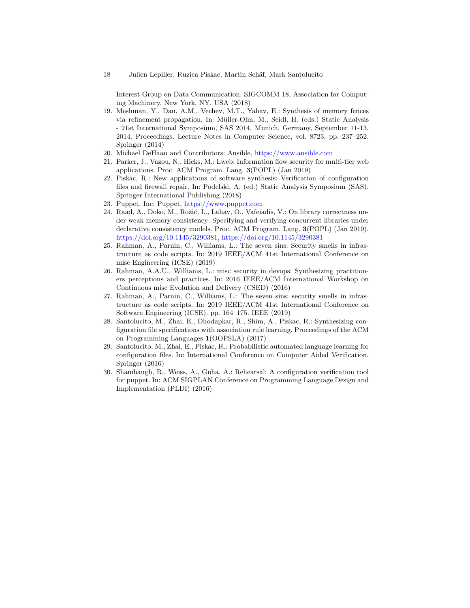Interest Group on Data Communication. SIGCOMM 18, Association for Computing Machinery, New York, NY, USA (2018)

- <span id="page-17-2"></span>19. Meshman, Y., Dan, A.M., Vechev, M.T., Yahav, E.: Synthesis of memory fences via refinement propagation. In: Müller-Olm, M., Seidl, H. (eds.) Static Analysis - 21st International Symposium, SAS 2014, Munich, Germany, September 11-13, 2014. Proceedings. Lecture Notes in Computer Science, vol. 8723, pp. 237–252. Springer (2014)
- <span id="page-17-0"></span>20. Michael DeHaan and Contributors: Ansible, [https://www](https://www.ansible.com).ansible.com
- <span id="page-17-7"></span>21. Parker, J., Vazou, N., Hicks, M.: Lweb: Information flow security for multi-tier web applications. Proc. ACM Program. Lang. 3(POPL) (Jan 2019)
- <span id="page-17-9"></span>22. Piskac, R.: New applications of software synthesis: Verification of configuration files and firewall repair. In: Podelski, A. (ed.) Static Analysis Symposium (SAS). Springer International Publishing (2018)
- <span id="page-17-1"></span>23. Puppet, Inc: Puppet, [https://www](https://www.puppet.com).puppet.com
- <span id="page-17-3"></span>24. Raad, A., Doko, M., Rožić, L., Lahav, O., Vafeiadis, V.: On library correctness under weak memory consistency: Specifying and verifying concurrent libraries under declarative consistency models. Proc. ACM Program. Lang. 3(POPL) (Jan 2019). [https://doi.org/10.1145/3290381,](https://doi.org/10.1145/3290381) https://doi.org/10.[1145/3290381](https://doi.org/10.1145/3290381)
- <span id="page-17-6"></span>25. Rahman, A., Parnin, C., Williams, L.: The seven sins: Security smells in infrastructure as code scripts. In: 2019 IEEE/ACM 41st International Conference on misc Engineering (ICSE) (2019)
- <span id="page-17-4"></span>26. Rahman, A.A.U., Williams, L.: misc security in devops: Synthesizing practitioners perceptions and practices. In: 2016 IEEE/ACM International Workshop on Continuous misc Evolution and Delivery (CSED) (2016)
- <span id="page-17-5"></span>27. Rahman, A., Parnin, C., Williams, L.: The seven sins: security smells in infrastructure as code scripts. In: 2019 IEEE/ACM 41st International Conference on Software Engineering (ICSE). pp. 164–175. IEEE (2019)
- <span id="page-17-10"></span>28. Santolucito, M., Zhai, E., Dhodapkar, R., Shim, A., Piskac, R.: Synthesizing configuration file specifications with association rule learning. Proceedings of the ACM on Programming Languages 1(OOPSLA) (2017)
- <span id="page-17-11"></span>29. Santolucito, M., Zhai, E., Piskac, R.: Probabilistic automated language learning for configuration files. In: International Conference on Computer Aided Verification. Springer (2016)
- <span id="page-17-8"></span>30. Shambaugh, R., Weiss, A., Guha, A.: Rehearsal: A configuration verification tool for puppet. In: ACM SIGPLAN Conference on Programming Language Design and Implementation (PLDI) (2016)